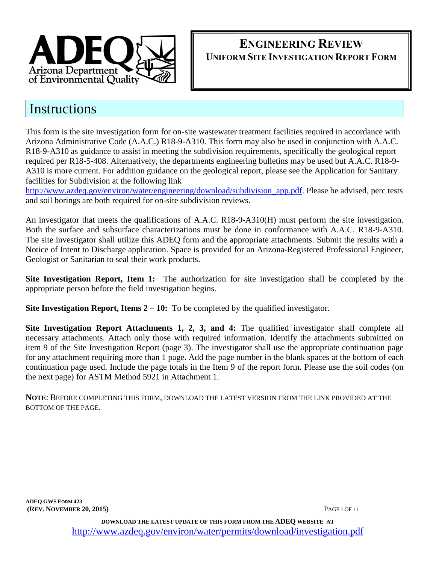

# **ENGINEERING REVIEW UNIFORM SITE INVESTIGATION REPORT FORM**

# **Instructions**

This form is the site investigation form for on-site wastewater treatment facilities required in accordance with Arizona Administrative Code (A.A.C.) R18-9-A310. This form may also be used in conjunction with A.A.C. R18-9-A310 as guidance to assist in meeting the subdivision requirements, specifically the geological report required per R18-5-408. Alternatively, the departments engineering bulletins may be used but A.A.C. R18-9- A310 is more current. For addition guidance on the geological report, please see the Application for Sanitary facilities for Subdivision at the following link

[http://www.azdeq.gov/environ/water/engineering/download/subdivision\\_app.pdf.](http://www.azdeq.gov/environ/water/engineering/download/subdivision_app.pdf) Please be advised, perc tests and soil borings are both required for on-site subdivision reviews.

An investigator that meets the qualifications of A.A.C. R18-9-A310(H) must perform the site investigation. Both the surface and subsurface characterizations must be done in conformance with A.A.C. R18-9-A310. The site investigator shall utilize this ADEQ form and the appropriate attachments. Submit the results with a Notice of Intent to Discharge application. Space is provided for an Arizona-Registered Professional Engineer, Geologist or Sanitarian to seal their work products.

**Site Investigation Report, Item 1:** The authorization for site investigation shall be completed by the appropriate person before the field investigation begins.

**Site Investigation Report, Items 2 – 10:** To be completed by the qualified investigator.

**Site Investigation Report Attachments 1, 2, 3, and 4:** The qualified investigator shall complete all necessary attachments. Attach only those with required information. Identify the attachments submitted on item 9 of the Site Investigation Report (page 3). The investigator shall use the appropriate continuation page for any attachment requiring more than 1 page. Add the page number in the blank spaces at the bottom of each continuation page used. Include the page totals in the Item 9 of the report form. Please use the soil codes (on the next page) for ASTM Method 5921 in Attachment 1.

**NOTE**: BEFORE COMPLETING THIS FORM, DOWNLOAD THE LATEST VERSION FROM THE LINK PROVIDED AT THE BOTTOM OF THE PAGE.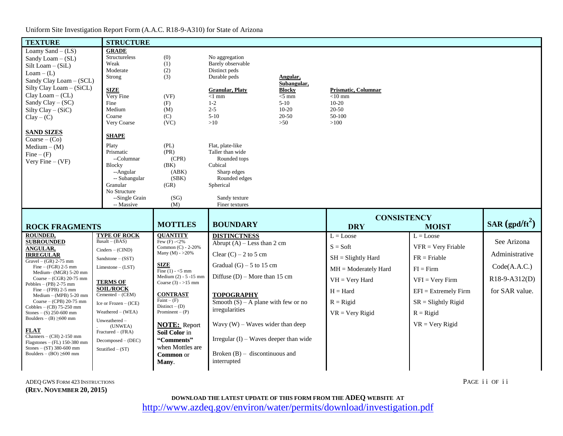# Uniform Site Investigation Report Form (A.A.C. R18-9-A310) for State of Arizona

| <b>TEXTURE</b>                                                | <b>STRUCTURE</b>                        |                                      |                                          |                              |                          |                        |                  |
|---------------------------------------------------------------|-----------------------------------------|--------------------------------------|------------------------------------------|------------------------------|--------------------------|------------------------|------------------|
| Loamy Sand $-(LS)$                                            | <b>GRADE</b>                            |                                      |                                          |                              |                          |                        |                  |
| Sandy Loam $-$ (SL)                                           | Structureless                           | (0)                                  | No aggregation                           |                              |                          |                        |                  |
| $Silt Loan - (SiL)$                                           | Weak                                    | (1)                                  | Barely observable                        |                              |                          |                        |                  |
| $Loam - (L)$                                                  | Moderate                                | (2)                                  | Distinct peds                            |                              |                          |                        |                  |
| Sandy Clay Loam - (SCL)                                       | Strong                                  | (3)                                  | Durable peds                             | Angular,                     |                          |                        |                  |
| Silty Clay Loam - (SiCL)                                      | <b>SIZE</b>                             |                                      | <b>Granular, Platy</b>                   | Subangular,<br><b>Blocky</b> | Prismatic, Columnar      |                        |                  |
| $Clay Loam - (CL)$                                            | Very Fine                               | (VF)                                 | $<1$ mm                                  | $<$ 5 mm                     | $<$ 10 mm                |                        |                  |
| Sandy Clay $-$ (SC)                                           | Fine                                    | (F)                                  | $1-2$                                    | $5-10$                       | $10-20$                  |                        |                  |
| Silty Clay - (SiC)                                            | Medium                                  | (M)                                  | $2 - 5$                                  | $10 - 20$                    | 20-50                    |                        |                  |
| $Clay - (C)$                                                  | Coarse                                  | (C)                                  | $5-10$                                   | 20-50                        | 50-100                   |                        |                  |
|                                                               | Very Coarse                             | (VC)                                 | >10                                      | >50                          | $>100$                   |                        |                  |
| <b>SAND SIZES</b>                                             |                                         |                                      |                                          |                              |                          |                        |                  |
| $Coarse - (Co)$                                               | SHAPE                                   |                                      |                                          |                              |                          |                        |                  |
| $Median - (M)$                                                | Platy                                   | (PL)                                 | Flat, plate-like                         |                              |                          |                        |                  |
| $\text{Fine} - (\text{F})$                                    | Prismatic                               | (PR)                                 | Taller than wide                         |                              |                          |                        |                  |
| Very Fine $-(VF)$                                             | --Columnar                              | (CPR)                                | Rounded tops                             |                              |                          |                        |                  |
|                                                               | <b>Blocky</b>                           | (BK)<br>(ABK)                        | Cubical<br>Sharp edges                   |                              |                          |                        |                  |
|                                                               | --Angular<br>-- Subangular              | (SBK)                                | Rounded edges                            |                              |                          |                        |                  |
|                                                               | Granular                                | (GR)                                 | Spherical                                |                              |                          |                        |                  |
|                                                               | No Structure                            |                                      |                                          |                              |                          |                        |                  |
|                                                               | --Single Grain                          | (SG)                                 | Sandy texture                            |                              |                          |                        |                  |
|                                                               | -- Massive                              | (M)                                  |                                          |                              |                          |                        |                  |
|                                                               |                                         |                                      | Finer textures                           |                              |                          |                        |                  |
|                                                               |                                         |                                      |                                          |                              |                          |                        |                  |
|                                                               |                                         | <b>MOTTLES</b>                       | <b>BOUNDARY</b>                          |                              | <b>CONSISTENCY</b>       |                        | SAR $(gpd/ft^2)$ |
| <b>ROCK FRAGMENTS</b>                                         |                                         |                                      |                                          |                              | <b>DRY</b>               | <b>MOIST</b>           |                  |
| <b>ROUNDED.</b>                                               | <b>TYPE OF ROCK</b><br>$Basalt - (BAS)$ | <b>OUANTITY</b><br>Few $(F) - 2\%$   | <b>DISTINCTNESS</b>                      |                              | $L = Loves$              | $L = Lovese$           |                  |
| <b>SUBROUNDED</b><br><b>ANGULAR,</b>                          |                                         | Common (C) - 2-20%                   | Abrupt $(A)$ – Less than 2 cm            |                              | $S = Soft$               | $VFR = V$ ery Friable  | See Arizona      |
| <b>IRREGULAR</b>                                              | $Cinders - (CIND)$                      | Many (M) - $>20\%$                   | Clear $(C)$ – 2 to 5 cm                  |                              |                          |                        | Administrative   |
| Gravel $-$ (GR) 2-75 mm                                       | $Sandstone - (SST)$                     |                                      |                                          |                              | $SH = S$ lightly Hard    | $FR = Friable$         |                  |
| Fine $-$ (FGR) 2-5 mm<br>Medium- (MGR) 5-20 mm                | $Limes$ tone – $(LST)$                  | <b>SIZE</b><br>Fine $(1) - 5$ mm     | Gradual $(G)$ – 5 to 15 cm               |                              | $MH = Modernatedly Hard$ | $FI = Firm$            | Code(A.A.C.)     |
| Coarse $-$ (CGR) 20-75 mm                                     |                                         | Medium $(2) - 5 - 15$ mm             | Diffuse $(D)$ – More than 15 cm          |                              | $VH = Very Hard$         | $VFI = Very Firm$      | R18-9-A312(D)    |
| Pebbles $-$ (PB) 2-75 mm<br>$Fine - (FPB) 2-5 mm$             | <b>TERMS OF</b><br><b>SOIL/ROCK</b>     | Coarse $(3) - 15$ mm                 |                                          |                              | $H = Hard$               | $EFI = Extremely Firm$ | for SAR value.   |
| $Median - (MPB) 5-20 mm$<br>Coarse $-$ (CPB) 20-75 mm         | $Cemented - (CEM)$                      | <b>CONTRAST</b><br>$Fair - (F)$      | <b>TOPOGRAPHY</b>                        |                              |                          |                        |                  |
| Cobbles $-$ (CB) 75-250 mm                                    | Ice or $Frozen - (ICE)$                 | Distinct $-$ (D)                     | Smooth $(S)$ – A plane with few or no    |                              | $R =$ Rigid              | $SR = S$ lightly Rigid |                  |
| Stones $-$ (S) 250-600 mm                                     | Weathered - (WEA)                       | Prominent $-(P)$                     | irregularities                           |                              | $VR = Very Rigid$        | $R =$ Rigid            |                  |
| Boulders – $(B) \ge 600$ mm                                   | Unweathered-                            |                                      | Wavy $(W)$ – Waves wider than deep       |                              |                          | $VR = Very Rigid$      |                  |
| <b>FLAT</b>                                                   | (UNWEA)<br>Fractured - (FRA)            | <b>NOTE:</b> Report<br>Soil Color in |                                          |                              |                          |                        |                  |
| Channers $-$ (CH) 2-150 mm                                    |                                         | "Comments"                           | Irregular $(I)$ – Waves deeper than wide |                              |                          |                        |                  |
| $Flagstones - (FL)$ 150-380 mm                                | $Decomposed - (DEC)$                    | when Mottles are                     |                                          |                              |                          |                        |                  |
| Stones $-$ (ST) 380-600 mm<br>Boulders $-$ (BO) $\geq$ 600 mm | Stratified $-$ (ST)                     |                                      | Broken $(B)$ – discontinuous and         |                              |                          |                        |                  |
|                                                               |                                         | <b>Common</b> or<br>Many.            | interrupted                              |                              |                          |                        |                  |

ADEQ GWS FORM 423 INSTRUCTIONS PAGE i OF ii **(REV. NOVEMBER 20, 2015)**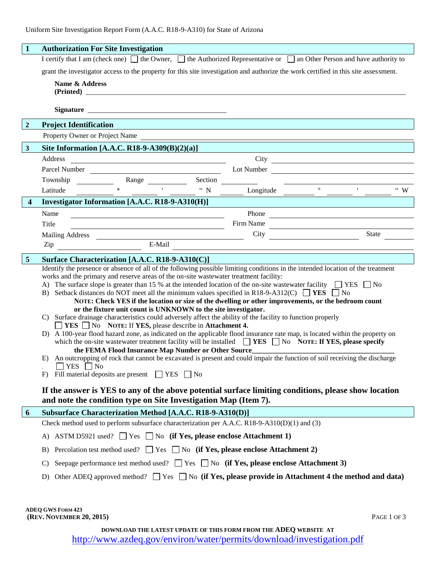| $\mathbf{1}$            | <b>Authorization For Site Investigation</b>                                                                                                                                                                                                                                                                                                                                                                                                                                                                                                                                                                                                                                                                                                                                                                                                                                                                                                                                                                                                                                                                                                                                                                                                                                                                                                                                                                                                                                                                                                      |  |  |  |  |  |  |  |  |
|-------------------------|--------------------------------------------------------------------------------------------------------------------------------------------------------------------------------------------------------------------------------------------------------------------------------------------------------------------------------------------------------------------------------------------------------------------------------------------------------------------------------------------------------------------------------------------------------------------------------------------------------------------------------------------------------------------------------------------------------------------------------------------------------------------------------------------------------------------------------------------------------------------------------------------------------------------------------------------------------------------------------------------------------------------------------------------------------------------------------------------------------------------------------------------------------------------------------------------------------------------------------------------------------------------------------------------------------------------------------------------------------------------------------------------------------------------------------------------------------------------------------------------------------------------------------------------------|--|--|--|--|--|--|--|--|
|                         | I certify that I am (check one) $\Box$ the Owner, $\Box$ the Authorized Representative or $\Box$ an Other Person and have authority to                                                                                                                                                                                                                                                                                                                                                                                                                                                                                                                                                                                                                                                                                                                                                                                                                                                                                                                                                                                                                                                                                                                                                                                                                                                                                                                                                                                                           |  |  |  |  |  |  |  |  |
|                         | grant the investigator access to the property for this site investigation and authorize the work certified in this site assessment.                                                                                                                                                                                                                                                                                                                                                                                                                                                                                                                                                                                                                                                                                                                                                                                                                                                                                                                                                                                                                                                                                                                                                                                                                                                                                                                                                                                                              |  |  |  |  |  |  |  |  |
|                         | Name & Address                                                                                                                                                                                                                                                                                                                                                                                                                                                                                                                                                                                                                                                                                                                                                                                                                                                                                                                                                                                                                                                                                                                                                                                                                                                                                                                                                                                                                                                                                                                                   |  |  |  |  |  |  |  |  |
|                         |                                                                                                                                                                                                                                                                                                                                                                                                                                                                                                                                                                                                                                                                                                                                                                                                                                                                                                                                                                                                                                                                                                                                                                                                                                                                                                                                                                                                                                                                                                                                                  |  |  |  |  |  |  |  |  |
| $\overline{2}$          | <b>Project Identification</b>                                                                                                                                                                                                                                                                                                                                                                                                                                                                                                                                                                                                                                                                                                                                                                                                                                                                                                                                                                                                                                                                                                                                                                                                                                                                                                                                                                                                                                                                                                                    |  |  |  |  |  |  |  |  |
|                         | Property Owner or Project Name                                                                                                                                                                                                                                                                                                                                                                                                                                                                                                                                                                                                                                                                                                                                                                                                                                                                                                                                                                                                                                                                                                                                                                                                                                                                                                                                                                                                                                                                                                                   |  |  |  |  |  |  |  |  |
| $\overline{\mathbf{3}}$ | Site Information [A.A.C. R18-9-A309(B)(2)(a)]                                                                                                                                                                                                                                                                                                                                                                                                                                                                                                                                                                                                                                                                                                                                                                                                                                                                                                                                                                                                                                                                                                                                                                                                                                                                                                                                                                                                                                                                                                    |  |  |  |  |  |  |  |  |
|                         | $City \fbox{1}$<br>Address<br><u> 1989 - Johann Barbara, martin amerikan basar dan basa dan basa dan basa dan basa dan basa dalam basa dan basa</u>                                                                                                                                                                                                                                                                                                                                                                                                                                                                                                                                                                                                                                                                                                                                                                                                                                                                                                                                                                                                                                                                                                                                                                                                                                                                                                                                                                                              |  |  |  |  |  |  |  |  |
|                         | Parcel Number Lot Number Lot Number Lot Number Lot Number 2014                                                                                                                                                                                                                                                                                                                                                                                                                                                                                                                                                                                                                                                                                                                                                                                                                                                                                                                                                                                                                                                                                                                                                                                                                                                                                                                                                                                                                                                                                   |  |  |  |  |  |  |  |  |
|                         | Section <u>and</u>                                                                                                                                                                                                                                                                                                                                                                                                                                                                                                                                                                                                                                                                                                                                                                                                                                                                                                                                                                                                                                                                                                                                                                                                                                                                                                                                                                                                                                                                                                                               |  |  |  |  |  |  |  |  |
|                         | $\overline{\phantom{a}}$ $\overline{\phantom{a}}$<br>$\mathcal{L}^{\text{max}}$ . The $\mathcal{L}^{\text{max}}$<br>" N $\frac{1}{\sqrt{2}}$ Longitude $\frac{1}{\sqrt{2}}$ $\frac{1}{\sqrt{2}}$ $\frac{1}{\sqrt{2}}$ $\frac{1}{\sqrt{2}}$ $\frac{1}{\sqrt{2}}$ $\frac{1}{\sqrt{2}}$ $\frac{1}{\sqrt{2}}$ $\frac{1}{\sqrt{2}}$ $\frac{1}{\sqrt{2}}$ $\frac{1}{\sqrt{2}}$ $\frac{1}{\sqrt{2}}$ $\frac{1}{\sqrt{2}}$ $\frac{1}{\sqrt{2}}$ $\frac{1}{\sqrt{2}}$ $\frac{1}{\sqrt{2}}$<br>$\lq\lq$ W<br>Latitude                                                                                                                                                                                                                                                                                                                                                                                                                                                                                                                                                                                                                                                                                                                                                                                                                                                                                                                                                                                                                                      |  |  |  |  |  |  |  |  |
| $\boldsymbol{4}$        | Investigator Information [A.A.C. R18-9-A310(H)]                                                                                                                                                                                                                                                                                                                                                                                                                                                                                                                                                                                                                                                                                                                                                                                                                                                                                                                                                                                                                                                                                                                                                                                                                                                                                                                                                                                                                                                                                                  |  |  |  |  |  |  |  |  |
|                         | Name                                                                                                                                                                                                                                                                                                                                                                                                                                                                                                                                                                                                                                                                                                                                                                                                                                                                                                                                                                                                                                                                                                                                                                                                                                                                                                                                                                                                                                                                                                                                             |  |  |  |  |  |  |  |  |
|                         | Firm Name<br>Title                                                                                                                                                                                                                                                                                                                                                                                                                                                                                                                                                                                                                                                                                                                                                                                                                                                                                                                                                                                                                                                                                                                                                                                                                                                                                                                                                                                                                                                                                                                               |  |  |  |  |  |  |  |  |
|                         | State<br><b>City</b><br>Mailing Address City<br>Zip City<br>E-Mail City                                                                                                                                                                                                                                                                                                                                                                                                                                                                                                                                                                                                                                                                                                                                                                                                                                                                                                                                                                                                                                                                                                                                                                                                                                                                                                                                                                                                                                                                          |  |  |  |  |  |  |  |  |
|                         |                                                                                                                                                                                                                                                                                                                                                                                                                                                                                                                                                                                                                                                                                                                                                                                                                                                                                                                                                                                                                                                                                                                                                                                                                                                                                                                                                                                                                                                                                                                                                  |  |  |  |  |  |  |  |  |
| 5                       | Surface Characterization [A.A.C. R18-9-A310(C)]                                                                                                                                                                                                                                                                                                                                                                                                                                                                                                                                                                                                                                                                                                                                                                                                                                                                                                                                                                                                                                                                                                                                                                                                                                                                                                                                                                                                                                                                                                  |  |  |  |  |  |  |  |  |
|                         | Identify the presence or absence of all of the following possible limiting conditions in the intended location of the treatment<br>works and the primary and reserve areas of the on-site wastewater treatment facility:<br>A) The surface slope is greater than 15 % at the intended location of the on-site wastewater facility $\Box$ YES $\Box$ No<br>Setback distances do NOT meet all the minimum values specified in R18-9-A312(C) $\Box$ YES $\Box$ No<br>B)<br>NOTE: Check YES if the location or size of the dwelling or other improvements, or the bedroom count<br>or the fixture unit count is UNKNOWN to the site investigator.<br>C) Surface drainage characteristics could adversely affect the ability of the facility to function properly<br>$\Box$ YES $\Box$ No NOTE: If YES, please describe in Attachment 4.<br>D) A 100-year flood hazard zone, as indicated on the applicable flood insurance rate map, is located within the property on<br>which the on-site wastewater treatment facility will be installed $\Box$ YES $\Box$ No NOTE: If YES, please specify<br>the FEMA Flood Insurance Map Number or Other Source_<br>An outcropping of rock that cannot be excavated is present and could impair the function of soil receiving the discharge<br>E)<br>YES $\Box$ No<br>Fill material deposits are present $\Box$ YES $\Box$ No<br>F)<br>If the answer is YES to any of the above potential surface limiting conditions, please show location<br>and note the condition type on Site Investigation Map (Item 7). |  |  |  |  |  |  |  |  |
| 6                       | Subsurface Characterization Method [A.A.C. R18-9-A310(D)]                                                                                                                                                                                                                                                                                                                                                                                                                                                                                                                                                                                                                                                                                                                                                                                                                                                                                                                                                                                                                                                                                                                                                                                                                                                                                                                                                                                                                                                                                        |  |  |  |  |  |  |  |  |
|                         | Check method used to perform subsurface characterization per A.A.C. R18-9-A310(D)(1) and (3)                                                                                                                                                                                                                                                                                                                                                                                                                                                                                                                                                                                                                                                                                                                                                                                                                                                                                                                                                                                                                                                                                                                                                                                                                                                                                                                                                                                                                                                     |  |  |  |  |  |  |  |  |
|                         | ASTM D5921 used? $\Box$ Yes $\Box$ No (if Yes, please enclose Attachment 1)<br>A)                                                                                                                                                                                                                                                                                                                                                                                                                                                                                                                                                                                                                                                                                                                                                                                                                                                                                                                                                                                                                                                                                                                                                                                                                                                                                                                                                                                                                                                                |  |  |  |  |  |  |  |  |
|                         | Percolation test method used? $\Box$ Yes $\Box$ No (if Yes, please enclose Attachment 2)<br>B)                                                                                                                                                                                                                                                                                                                                                                                                                                                                                                                                                                                                                                                                                                                                                                                                                                                                                                                                                                                                                                                                                                                                                                                                                                                                                                                                                                                                                                                   |  |  |  |  |  |  |  |  |
|                         | Seepage performance test method used? $\Box$ Yes $\Box$ No (if Yes, please enclose Attachment 3)<br>$\mathbf{C}$                                                                                                                                                                                                                                                                                                                                                                                                                                                                                                                                                                                                                                                                                                                                                                                                                                                                                                                                                                                                                                                                                                                                                                                                                                                                                                                                                                                                                                 |  |  |  |  |  |  |  |  |
|                         | Other ADEQ approved method? $\Box$ Yes $\Box$ No (if Yes, please provide in Attachment 4 the method and data)<br>D)                                                                                                                                                                                                                                                                                                                                                                                                                                                                                                                                                                                                                                                                                                                                                                                                                                                                                                                                                                                                                                                                                                                                                                                                                                                                                                                                                                                                                              |  |  |  |  |  |  |  |  |
|                         | <b>ADEQ GWS FORM 423</b><br>(REV. NOVEMBER 20, 2015)<br>PAGE 1 OF 3                                                                                                                                                                                                                                                                                                                                                                                                                                                                                                                                                                                                                                                                                                                                                                                                                                                                                                                                                                                                                                                                                                                                                                                                                                                                                                                                                                                                                                                                              |  |  |  |  |  |  |  |  |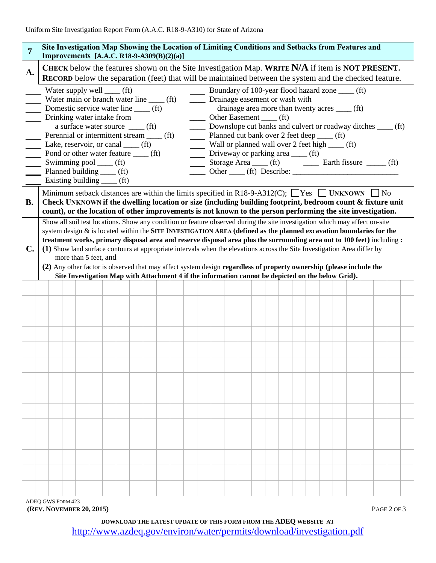| $\overline{7}$ | Site Investigation Map Showing the Location of Limiting Conditions and Setbacks from Features and<br><b>Improvements</b> [A.A.C. R18-9-A309(B)(2)(a)]                                                                                                                                                                                                                                                                                                                                                                                                                                                                                                                                                                                                                                                                                                                                                                                                                                                                                                                                                                                                                                                                  |  |  |  |  |                                                                                                 |  |  |  |  |  |  |  |  |  |  |  |  |                                                                                                               |  |
|----------------|------------------------------------------------------------------------------------------------------------------------------------------------------------------------------------------------------------------------------------------------------------------------------------------------------------------------------------------------------------------------------------------------------------------------------------------------------------------------------------------------------------------------------------------------------------------------------------------------------------------------------------------------------------------------------------------------------------------------------------------------------------------------------------------------------------------------------------------------------------------------------------------------------------------------------------------------------------------------------------------------------------------------------------------------------------------------------------------------------------------------------------------------------------------------------------------------------------------------|--|--|--|--|-------------------------------------------------------------------------------------------------|--|--|--|--|--|--|--|--|--|--|--|--|---------------------------------------------------------------------------------------------------------------|--|
| A.             |                                                                                                                                                                                                                                                                                                                                                                                                                                                                                                                                                                                                                                                                                                                                                                                                                                                                                                                                                                                                                                                                                                                                                                                                                        |  |  |  |  | CHECK below the features shown on the Site Investigation Map. WRITE N/A if item is NOT PRESENT. |  |  |  |  |  |  |  |  |  |  |  |  | <b>RECORD</b> below the separation (feet) that will be maintained between the system and the checked feature. |  |
| <b>B.</b>      | Boundary of 100-year flood hazard zone ____ (ft)<br>Water supply well $\_\_ (ft)$<br>Water main or branch water line _____ (ft)<br>_____ Drainage easement or wash with<br>Domestic service water line _____ (ft)<br>drainage area more than twenty acres ____ (ft)<br>Drinking water intake from<br>$\frac{1}{1}$ Other Easement $\frac{1}{1}$ (ft)<br>a surface water source _____ (ft)<br>_____ Downslope cut banks and culvert or roadway ditches _____ (ft)<br>Planned cut bank over 2 feet deep ____ (ft)<br>Perennial or intermittent stream _____ (ft)<br>Wall or planned wall over 2 feet high $\frac{1}{\sqrt{t}}$ (ft)<br>Lake, reservoir, or canal _____ (ft)<br>Pond or other water feature _____ (ft)<br>_____ Driveway or parking area ____ (ft)<br>$=$<br>Swimming pool _____ (ft)<br>Storage Area _____ (ft) __________ Earth fissure _______ (ft)<br>Planned building ____ (ft)<br>Other (ft) Describe:<br>$\overline{\phantom{a}}$<br>Existing building _____ (ft)<br>Minimum setback distances are within the limits specified in R18-9-A312(C); $\Box$ Yes $\Box$ UNKNOWN $\Box$ No<br>Check UNKNOWN if the dwelling location or size (including building footprint, bedroom count & fixture unit |  |  |  |  |                                                                                                 |  |  |  |  |  |  |  |  |  |  |  |  |                                                                                                               |  |
| $\mathbf{C}$ . | count), or the location of other improvements is not known to the person performing the site investigation.<br>Show all soil test locations. Show any condition or feature observed during the site investigation which may affect on-site<br>system design $\&$ is located within the SITE INVESTIGATION AREA (defined as the planned excavation boundaries for the<br>treatment works, primary disposal area and reserve disposal area plus the surrounding area out to 100 feet) including:<br>(1) Show land surface contours at appropriate intervals when the elevations across the Site Investigation Area differ by<br>more than 5 feet, and<br>(2) Any other factor is observed that may affect system design regardless of property ownership (please include the<br>Site Investigation Map with Attachment 4 if the information cannot be depicted on the below Grid).                                                                                                                                                                                                                                                                                                                                       |  |  |  |  |                                                                                                 |  |  |  |  |  |  |  |  |  |  |  |  |                                                                                                               |  |
|                |                                                                                                                                                                                                                                                                                                                                                                                                                                                                                                                                                                                                                                                                                                                                                                                                                                                                                                                                                                                                                                                                                                                                                                                                                        |  |  |  |  |                                                                                                 |  |  |  |  |  |  |  |  |  |  |  |  |                                                                                                               |  |
|                |                                                                                                                                                                                                                                                                                                                                                                                                                                                                                                                                                                                                                                                                                                                                                                                                                                                                                                                                                                                                                                                                                                                                                                                                                        |  |  |  |  |                                                                                                 |  |  |  |  |  |  |  |  |  |  |  |  |                                                                                                               |  |
|                |                                                                                                                                                                                                                                                                                                                                                                                                                                                                                                                                                                                                                                                                                                                                                                                                                                                                                                                                                                                                                                                                                                                                                                                                                        |  |  |  |  |                                                                                                 |  |  |  |  |  |  |  |  |  |  |  |  |                                                                                                               |  |
|                |                                                                                                                                                                                                                                                                                                                                                                                                                                                                                                                                                                                                                                                                                                                                                                                                                                                                                                                                                                                                                                                                                                                                                                                                                        |  |  |  |  |                                                                                                 |  |  |  |  |  |  |  |  |  |  |  |  |                                                                                                               |  |
|                |                                                                                                                                                                                                                                                                                                                                                                                                                                                                                                                                                                                                                                                                                                                                                                                                                                                                                                                                                                                                                                                                                                                                                                                                                        |  |  |  |  |                                                                                                 |  |  |  |  |  |  |  |  |  |  |  |  |                                                                                                               |  |
|                |                                                                                                                                                                                                                                                                                                                                                                                                                                                                                                                                                                                                                                                                                                                                                                                                                                                                                                                                                                                                                                                                                                                                                                                                                        |  |  |  |  |                                                                                                 |  |  |  |  |  |  |  |  |  |  |  |  |                                                                                                               |  |
|                |                                                                                                                                                                                                                                                                                                                                                                                                                                                                                                                                                                                                                                                                                                                                                                                                                                                                                                                                                                                                                                                                                                                                                                                                                        |  |  |  |  |                                                                                                 |  |  |  |  |  |  |  |  |  |  |  |  |                                                                                                               |  |
|                |                                                                                                                                                                                                                                                                                                                                                                                                                                                                                                                                                                                                                                                                                                                                                                                                                                                                                                                                                                                                                                                                                                                                                                                                                        |  |  |  |  |                                                                                                 |  |  |  |  |  |  |  |  |  |  |  |  |                                                                                                               |  |
|                |                                                                                                                                                                                                                                                                                                                                                                                                                                                                                                                                                                                                                                                                                                                                                                                                                                                                                                                                                                                                                                                                                                                                                                                                                        |  |  |  |  |                                                                                                 |  |  |  |  |  |  |  |  |  |  |  |  |                                                                                                               |  |
|                |                                                                                                                                                                                                                                                                                                                                                                                                                                                                                                                                                                                                                                                                                                                                                                                                                                                                                                                                                                                                                                                                                                                                                                                                                        |  |  |  |  |                                                                                                 |  |  |  |  |  |  |  |  |  |  |  |  |                                                                                                               |  |
|                |                                                                                                                                                                                                                                                                                                                                                                                                                                                                                                                                                                                                                                                                                                                                                                                                                                                                                                                                                                                                                                                                                                                                                                                                                        |  |  |  |  |                                                                                                 |  |  |  |  |  |  |  |  |  |  |  |  |                                                                                                               |  |
|                |                                                                                                                                                                                                                                                                                                                                                                                                                                                                                                                                                                                                                                                                                                                                                                                                                                                                                                                                                                                                                                                                                                                                                                                                                        |  |  |  |  |                                                                                                 |  |  |  |  |  |  |  |  |  |  |  |  |                                                                                                               |  |
|                |                                                                                                                                                                                                                                                                                                                                                                                                                                                                                                                                                                                                                                                                                                                                                                                                                                                                                                                                                                                                                                                                                                                                                                                                                        |  |  |  |  |                                                                                                 |  |  |  |  |  |  |  |  |  |  |  |  |                                                                                                               |  |
|                |                                                                                                                                                                                                                                                                                                                                                                                                                                                                                                                                                                                                                                                                                                                                                                                                                                                                                                                                                                                                                                                                                                                                                                                                                        |  |  |  |  |                                                                                                 |  |  |  |  |  |  |  |  |  |  |  |  |                                                                                                               |  |

ADEQ GWS FORM 423 **(REV. NOVEMBER 20, 2015)** PAGE 2 OF 3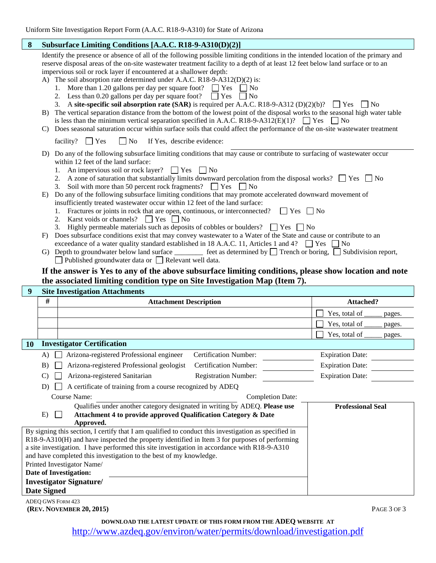| 8  | Subsurface Limiting Conditions [A.A.C. R18-9-A310(D)(2)]                                                                                                                                                                                                                                                                                                                                                                                                                                                                                                                                                                                                                                                                                                                                                                                                                                                                                                                                                                                                                                                                                          |                                          |  |  |  |  |  |  |  |  |
|----|---------------------------------------------------------------------------------------------------------------------------------------------------------------------------------------------------------------------------------------------------------------------------------------------------------------------------------------------------------------------------------------------------------------------------------------------------------------------------------------------------------------------------------------------------------------------------------------------------------------------------------------------------------------------------------------------------------------------------------------------------------------------------------------------------------------------------------------------------------------------------------------------------------------------------------------------------------------------------------------------------------------------------------------------------------------------------------------------------------------------------------------------------|------------------------------------------|--|--|--|--|--|--|--|--|
|    | Identify the presence or absence of all of the following possible limiting conditions in the intended location of the primary and<br>reserve disposal areas of the on-site wastewater treatment facility to a depth of at least 12 feet below land surface or to an<br>impervious soil or rock layer if encountered at a shallower depth:<br>A) The soil absorption rate determined under A.A.C. R18-9-A312(D)(2) is:<br>1. More than 1.20 gallons per day per square foot?<br>$\Gamma$ Yes<br>$\overline{N}$<br>Less than 0.20 gallons per day per square foot?<br>$\Box$ Yes<br>$\Box$ No<br>A site-specific soil absorption rate (SAR) is required per A.A.C. R18-9-A312 (D)(2)(b)?<br>$\vert$   No<br>3.<br>$\blacksquare$ Yes<br>The vertical separation distance from the bottom of the lowest point of the disposal works to the seasonal high water table<br>$\mathbf{B}$ )<br>is less than the minimum vertical separation specified in A.A.C. R18-9-A312(E)(1)? $\Box$ Yes $\Box$ No<br>Does seasonal saturation occur within surface soils that could affect the performance of the on-site wastewater treatment<br>C)<br>$\mathsf{L}$ |                                          |  |  |  |  |  |  |  |  |
|    | facility? $\Box$ Yes<br>No<br>If Yes, describe evidence:                                                                                                                                                                                                                                                                                                                                                                                                                                                                                                                                                                                                                                                                                                                                                                                                                                                                                                                                                                                                                                                                                          |                                          |  |  |  |  |  |  |  |  |
|    | D) Do any of the following subsurface limiting conditions that may cause or contribute to surfacing of wastewater occur<br>within 12 feet of the land surface:<br>1. An impervious soil or rock layer? $\Box$ Yes $\Box$ No<br>2. A zone of saturation that substantially limits downward percolation from the disposal works? $\Box$ Yes $\Box$ No<br>Soil with more than 50 percent rock fragments? $\Box$ Yes $\Box$ No<br>3.<br>Do any of the following subsurface limiting conditions that may promote accelerated downward movement of<br>E)<br>insufficiently treated wastewater occur within 12 feet of the land surface:<br>Fractures or joints in rock that are open, continuous, or interconnected?<br>$ $ $ $ $Yes$ $ $ $ $ $No$<br>Karst voids or channels? $\Box$ Yes $\Box$ No<br>2.<br>Highly permeable materials such as deposits of cobbles or boulders? $\Box$ Yes $\Box$ No<br>3.                                                                                                                                                                                                                                             |                                          |  |  |  |  |  |  |  |  |
|    | Does subsurface conditions exist that may convey wastewater to a Water of the State and cause or contribute to an<br>F)                                                                                                                                                                                                                                                                                                                                                                                                                                                                                                                                                                                                                                                                                                                                                                                                                                                                                                                                                                                                                           |                                          |  |  |  |  |  |  |  |  |
|    | exceedance of a water quality standard established in 18 A.A.C. 11, Articles 1 and 4? $\Box$ Yes $\Box$ No<br>G) Depth to groundwater below land surface $\frac{1}{\sqrt{2}}$ feet as determined by $\boxed{\phantom{2}}$ Trench or boring, $\boxed{\phantom{2}}$ Subdivision report,<br>Published groundwater data or $\Box$ Relevant well data.                                                                                                                                                                                                                                                                                                                                                                                                                                                                                                                                                                                                                                                                                                                                                                                                 |                                          |  |  |  |  |  |  |  |  |
|    |                                                                                                                                                                                                                                                                                                                                                                                                                                                                                                                                                                                                                                                                                                                                                                                                                                                                                                                                                                                                                                                                                                                                                   |                                          |  |  |  |  |  |  |  |  |
|    | If the answer is Yes to any of the above subsurface limiting conditions, please show location and note                                                                                                                                                                                                                                                                                                                                                                                                                                                                                                                                                                                                                                                                                                                                                                                                                                                                                                                                                                                                                                            |                                          |  |  |  |  |  |  |  |  |
|    | the associated limiting condition type on Site Investigation Map (Item 7).                                                                                                                                                                                                                                                                                                                                                                                                                                                                                                                                                                                                                                                                                                                                                                                                                                                                                                                                                                                                                                                                        |                                          |  |  |  |  |  |  |  |  |
| 9  | <b>Site Investigation Attachments</b><br>#<br><b>Attachment Description</b>                                                                                                                                                                                                                                                                                                                                                                                                                                                                                                                                                                                                                                                                                                                                                                                                                                                                                                                                                                                                                                                                       | Attached?                                |  |  |  |  |  |  |  |  |
|    |                                                                                                                                                                                                                                                                                                                                                                                                                                                                                                                                                                                                                                                                                                                                                                                                                                                                                                                                                                                                                                                                                                                                                   |                                          |  |  |  |  |  |  |  |  |
|    |                                                                                                                                                                                                                                                                                                                                                                                                                                                                                                                                                                                                                                                                                                                                                                                                                                                                                                                                                                                                                                                                                                                                                   | Yes, total of<br>pages.                  |  |  |  |  |  |  |  |  |
|    |                                                                                                                                                                                                                                                                                                                                                                                                                                                                                                                                                                                                                                                                                                                                                                                                                                                                                                                                                                                                                                                                                                                                                   | Yes, total of<br>pages.<br>Yes, total of |  |  |  |  |  |  |  |  |
| 10 | <b>Investigator Certification</b>                                                                                                                                                                                                                                                                                                                                                                                                                                                                                                                                                                                                                                                                                                                                                                                                                                                                                                                                                                                                                                                                                                                 | pages.                                   |  |  |  |  |  |  |  |  |
|    | Arizona-registered Professional engineer<br>Certification Number:<br>A)                                                                                                                                                                                                                                                                                                                                                                                                                                                                                                                                                                                                                                                                                                                                                                                                                                                                                                                                                                                                                                                                           | <b>Expiration Date:</b>                  |  |  |  |  |  |  |  |  |
|    | Arizona-registered Professional geologist<br><b>Certification Number:</b><br>B)                                                                                                                                                                                                                                                                                                                                                                                                                                                                                                                                                                                                                                                                                                                                                                                                                                                                                                                                                                                                                                                                   | <b>Expiration Date:</b>                  |  |  |  |  |  |  |  |  |
|    | Arizona-registered Sanitarian<br><b>Registration Number:</b><br>$\mathcal{C}$                                                                                                                                                                                                                                                                                                                                                                                                                                                                                                                                                                                                                                                                                                                                                                                                                                                                                                                                                                                                                                                                     | <b>Expiration Date:</b>                  |  |  |  |  |  |  |  |  |
|    | A certificate of training from a course recognized by ADEQ<br>D)                                                                                                                                                                                                                                                                                                                                                                                                                                                                                                                                                                                                                                                                                                                                                                                                                                                                                                                                                                                                                                                                                  |                                          |  |  |  |  |  |  |  |  |
|    | Course Name:<br><b>Completion Date:</b>                                                                                                                                                                                                                                                                                                                                                                                                                                                                                                                                                                                                                                                                                                                                                                                                                                                                                                                                                                                                                                                                                                           |                                          |  |  |  |  |  |  |  |  |
|    | Qualifies under another category designated in writing by ADEQ. Please use<br>Attachment 4 to provide approved Qualification Category & Date<br>E)<br>Approved.<br>By signing this section, I certify that I am qualified to conduct this investigation as specified in                                                                                                                                                                                                                                                                                                                                                                                                                                                                                                                                                                                                                                                                                                                                                                                                                                                                           | <b>Professional Seal</b>                 |  |  |  |  |  |  |  |  |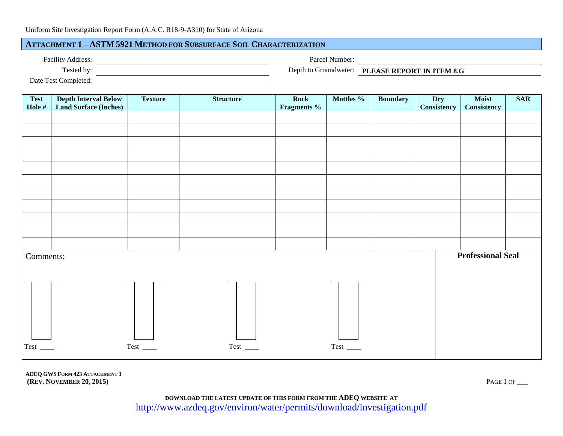# **ATTACHMENT 1 – ASTM 5921 METHOD FOR SUBSURFACE SOIL CHARACTERIZATION**

| <b>Facility Address:</b> |  |
|--------------------------|--|
|--------------------------|--|

Parcel Number:

| ---------                                                                                                           |  |
|---------------------------------------------------------------------------------------------------------------------|--|
| $\Gamma_{\alpha\beta\gamma}$ $\Gamma_{\alpha\alpha\beta}$ $\Gamma_{\alpha\gamma\gamma}$ and $\Gamma_{\alpha\gamma}$ |  |

Tested by: Depth to Groundwater: **PLEASE REPORT IN ITEM 8.G**

Date Test Completed: 

| <b>Test</b> | <b>Depth Interval Below</b><br><b>Land Surface (Inches)</b> | <b>Texture</b> | <b>Structure</b> | Rock                   | Mottles %     | <b>Boundary</b> | Dry<br>Consistency | Moist                    | <b>SAR</b> |
|-------------|-------------------------------------------------------------|----------------|------------------|------------------------|---------------|-----------------|--------------------|--------------------------|------------|
| Hole $\#$   |                                                             |                |                  | Fragments <sup>%</sup> |               |                 |                    | <b>Consistency</b>       |            |
|             |                                                             |                |                  |                        |               |                 |                    |                          |            |
|             |                                                             |                |                  |                        |               |                 |                    |                          |            |
|             |                                                             |                |                  |                        |               |                 |                    |                          |            |
|             |                                                             |                |                  |                        |               |                 |                    |                          |            |
|             |                                                             |                |                  |                        |               |                 |                    |                          |            |
|             |                                                             |                |                  |                        |               |                 |                    |                          |            |
|             |                                                             |                |                  |                        |               |                 |                    |                          |            |
|             |                                                             |                |                  |                        |               |                 |                    |                          |            |
|             |                                                             |                |                  |                        |               |                 |                    |                          |            |
|             |                                                             |                |                  |                        |               |                 |                    |                          |            |
|             |                                                             |                |                  |                        |               |                 |                    |                          |            |
|             |                                                             |                |                  |                        |               |                 |                    |                          |            |
|             |                                                             |                |                  |                        |               |                 |                    |                          |            |
|             |                                                             |                |                  |                        |               |                 |                    |                          |            |
| Comments:   |                                                             |                |                  |                        |               |                 |                    | <b>Professional Seal</b> |            |
|             |                                                             |                |                  |                        |               |                 |                    |                          |            |
|             |                                                             |                |                  |                        |               |                 |                    |                          |            |
|             |                                                             |                |                  |                        |               |                 |                    |                          |            |
|             |                                                             |                |                  |                        |               |                 |                    |                          |            |
|             |                                                             |                |                  |                        |               |                 |                    |                          |            |
|             |                                                             |                |                  |                        |               |                 |                    |                          |            |
|             |                                                             |                |                  |                        |               |                 |                    |                          |            |
|             |                                                             |                |                  |                        |               |                 |                    |                          |            |
|             |                                                             |                |                  |                        |               |                 |                    |                          |            |
|             |                                                             | Test $\_\_$    | $Test$ $\_\_$    |                        | $Test$ $\_\_$ |                 |                    |                          |            |
|             |                                                             |                |                  |                        |               |                 |                    |                          |            |

**ADEQ GWS FORM 423 ATTACHMENT 1 (REV. NOVEMBER 20, 2015)** PAGE 1 OF \_\_\_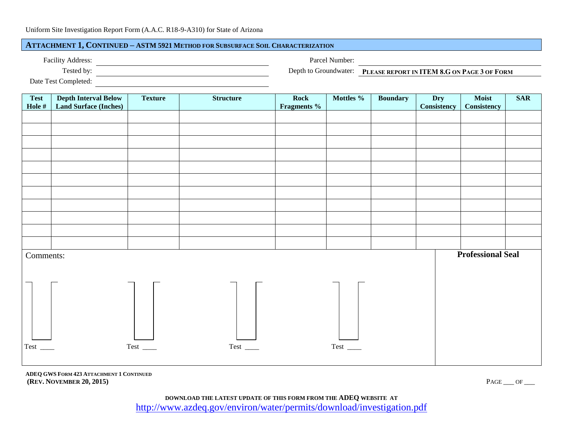# **ATTACHMENT 1, CONTINUED – ASTM 5921 METHOD FOR SUBSURFACE SOIL CHARACTERIZATION**

Parcel Number:

| $\sum_{i=1}^{n}$ . The set of $\sum_{i=1}^{n}$ . The set of $\sum_{i=1}^{n}$ |  |  |  |  |
|------------------------------------------------------------------------------|--|--|--|--|

Tested by: Depth to Groundwater: **PLEASE REPORT IN ITEM 8.G ON PAGE 3 OF FORM** 

Date Test Completed:

| Hole $\#$ | <b>Land Surface (Inches)</b> |                        | <b>Structure</b>      | Rock<br>Fragments % | Mottles %   | <b>Boundary</b> | Dry<br><b>Consistency</b> | Moist<br>Consistency     | <b>SAR</b> |
|-----------|------------------------------|------------------------|-----------------------|---------------------|-------------|-----------------|---------------------------|--------------------------|------------|
|           |                              |                        |                       |                     |             |                 |                           |                          |            |
|           |                              |                        |                       |                     |             |                 |                           |                          |            |
|           |                              |                        |                       |                     |             |                 |                           |                          |            |
|           |                              |                        |                       |                     |             |                 |                           |                          |            |
|           |                              |                        |                       |                     |             |                 |                           |                          |            |
|           |                              |                        |                       |                     |             |                 |                           |                          |            |
|           |                              |                        |                       |                     |             |                 |                           |                          |            |
|           |                              |                        |                       |                     |             |                 |                           |                          |            |
|           |                              |                        |                       |                     |             |                 |                           |                          |            |
|           |                              |                        |                       |                     |             |                 |                           |                          |            |
|           |                              |                        |                       |                     |             |                 |                           |                          |            |
| Comments: |                              |                        |                       |                     |             |                 |                           | <b>Professional Seal</b> |            |
|           |                              |                        |                       |                     |             |                 |                           |                          |            |
|           |                              |                        |                       |                     |             |                 |                           |                          |            |
|           |                              |                        |                       |                     |             |                 |                           |                          |            |
|           |                              |                        |                       |                     |             |                 |                           |                          |            |
|           |                              |                        |                       |                     |             |                 |                           |                          |            |
|           |                              |                        |                       |                     |             |                 |                           |                          |            |
| Test_     |                              | $Test$ <sub>____</sub> | $Test$ <sub>___</sub> |                     | Test $\_\_$ |                 |                           |                          |            |

**ADEQ GWS FORM 423 ATTACHMENT 1 CONTINUED (REV. NOVEMBER 20, 2015)** PAGE \_\_\_ OF \_\_\_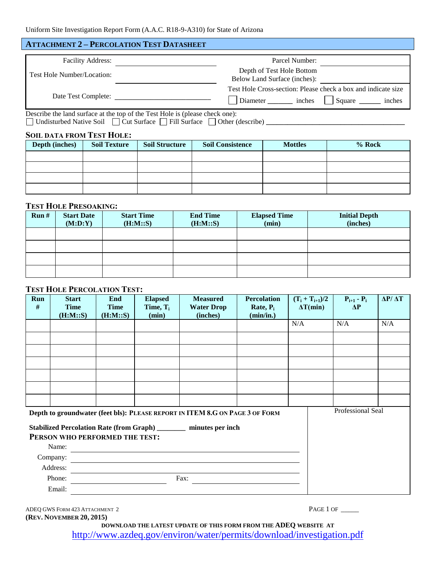# **ATTACHMENT 2 – PERCOLATION TEST DATASHEET**

| <b>Facility Address:</b>   | Parcel Number:                                                                                                              |
|----------------------------|-----------------------------------------------------------------------------------------------------------------------------|
| Test Hole Number/Location: | Depth of Test Hole Bottom<br>Below Land Surface (inches):                                                                   |
|                            | Test Hole Cross-section: Please check a box and indicate size<br>Date Test Complete:<br>Diameter inches<br>Square<br>inches |
|                            | Describe the land surface at the top of the Test Hole is (please check one):                                                |

□ Undisturbed Native Soil □ Cut Surface □ Fill Surface □ Other (describe) **\_\_\_\_\_\_\_\_\_\_\_** 

#### **SOIL DATA FROM TEST HOLE:**

| Depth (inches) | <b>Soil Texture</b> | <b>Soil Structure</b> | <b>Soil Consistence</b> | <b>Mottles</b> | $%$ Rock |
|----------------|---------------------|-----------------------|-------------------------|----------------|----------|
|                |                     |                       |                         |                |          |
|                |                     |                       |                         |                |          |
|                |                     |                       |                         |                |          |
|                |                     |                       |                         |                |          |

# **TEST HOLE PRESOAKING:**

| Run# | <b>Start Date</b><br>(M:D:Y) | <b>Start Time</b><br>(H:M::S) | <b>End Time</b><br>(H:M::S) | <b>Elapsed Time</b><br>(min) | <b>Initial Depth</b><br>(inches) |
|------|------------------------------|-------------------------------|-----------------------------|------------------------------|----------------------------------|
|      |                              |                               |                             |                              |                                  |
|      |                              |                               |                             |                              |                                  |
|      |                              |                               |                             |                              |                                  |
|      |                              |                               |                             |                              |                                  |

# **TEST HOLE PERCOLATION TEST:**

| Run<br>#                                                                                                        | <b>Start</b><br><b>Time</b><br>(H:M::S) | End<br><b>Time</b><br>(H:M::S) | <b>Elapsed</b><br>Time, $T_i$<br>(min) | <b>Measured</b><br><b>Water Drop</b><br>(inches) | <b>Percolation</b><br>Rate, $P_i$<br>(min/in.) | $(T_i + T_{i+1})/2$<br>$\Delta T$ (min) | $P_{i+1} - P_i$<br>$\Delta P$ | $\Delta P/\Delta T$ |
|-----------------------------------------------------------------------------------------------------------------|-----------------------------------------|--------------------------------|----------------------------------------|--------------------------------------------------|------------------------------------------------|-----------------------------------------|-------------------------------|---------------------|
|                                                                                                                 |                                         |                                |                                        |                                                  |                                                | N/A                                     | N/A                           | N/A                 |
|                                                                                                                 |                                         |                                |                                        |                                                  |                                                |                                         |                               |                     |
|                                                                                                                 |                                         |                                |                                        |                                                  |                                                |                                         |                               |                     |
|                                                                                                                 |                                         |                                |                                        |                                                  |                                                |                                         |                               |                     |
|                                                                                                                 |                                         |                                |                                        |                                                  |                                                |                                         |                               |                     |
|                                                                                                                 |                                         |                                |                                        |                                                  |                                                |                                         |                               |                     |
|                                                                                                                 |                                         |                                |                                        |                                                  |                                                |                                         |                               |                     |
| Depth to groundwater (feet bls): PLEASE REPORT IN ITEM 8.G ON PAGE 3 OF FORM                                    |                                         |                                |                                        |                                                  |                                                |                                         | Professional Seal             |                     |
| Stabilized Percolation Rate (from Graph) __________ minutes per inch<br>PERSON WHO PERFORMED THE TEST:<br>Name: |                                         |                                |                                        |                                                  |                                                |                                         |                               |                     |

| Company: |      |  |
|----------|------|--|
| Address: |      |  |
| Phone:   | Fax: |  |
| Email:   |      |  |

ADEQ GWS FORM 423 ATTACHMENT 2 PAGE 1 OF \_\_\_\_\_ **(REV. NOVEMBER 20, 2015)**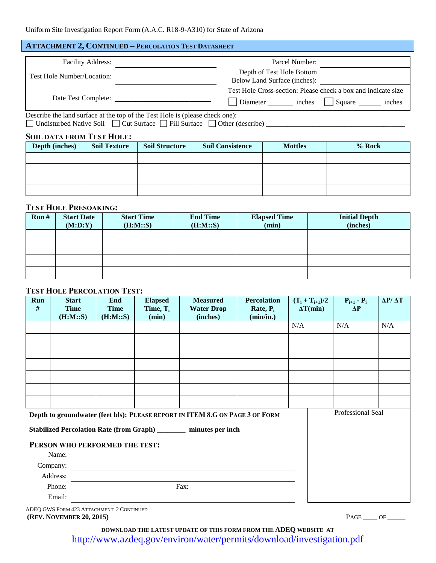# **ATTACHMENT 2, CONTINUED – PERCOLATION TEST DATASHEET**

| <b>Facility Address:</b>   | Parcel Number:                                                                                          |  |  |  |  |
|----------------------------|---------------------------------------------------------------------------------------------------------|--|--|--|--|
| Test Hole Number/Location: | Depth of Test Hole Bottom<br>Below Land Surface (inches):                                               |  |  |  |  |
| Date Test Complete:        | Test Hole Cross-section: Please check a box and indicate size<br>inches<br>Diameter<br>Square<br>inches |  |  |  |  |

Describe the land surface at the top of the Test Hole is (please check one): Undisturbed Native Soil Cut Surface Fill Surface Other (describe) **\_\_\_\_\_\_\_\_\_\_\_\_\_\_\_\_\_\_\_\_\_\_\_\_\_\_\_\_\_\_\_\_\_\_\_\_\_\_\_**

# **SOIL DATA FROM TEST HOLE:**

| Depth (inches) | <b>Soil Texture</b> | <b>Soil Structure</b> | <b>Soil Consistence</b> | <b>Mottles</b> | % Rock |
|----------------|---------------------|-----------------------|-------------------------|----------------|--------|
|                |                     |                       |                         |                |        |
|                |                     |                       |                         |                |        |
|                |                     |                       |                         |                |        |
|                |                     |                       |                         |                |        |

# **TEST HOLE PRESOAKING:**

| Run# | <b>Start Date</b><br>(M:D:Y) | <b>Start Time</b><br>(H:M::S) | <b>End Time</b><br>(H:M::S) | <b>Elapsed Time</b><br>(min) | <b>Initial Depth</b><br>(inches) |
|------|------------------------------|-------------------------------|-----------------------------|------------------------------|----------------------------------|
|      |                              |                               |                             |                              |                                  |
|      |                              |                               |                             |                              |                                  |
|      |                              |                               |                             |                              |                                  |
|      |                              |                               |                             |                              |                                  |

### **TEST HOLE PERCOLATION TEST:**

| Run<br># | <b>Start</b><br><b>Time</b><br>(H:M::S) | End<br><b>Time</b><br>(H:M::S) | <b>Elapsed</b><br>Time, $T_i$<br>(min) | <b>Measured</b><br><b>Water Drop</b><br>(inches)                              | <b>Percolation</b><br>Rate, $P_i$<br>(min/in.) | $(T_i + T_{i+1})/2$<br>$\Delta T$ (min) | $P_{i+1} - P_i$<br>$\Delta P$ | $\Delta P/\Delta T$ |
|----------|-----------------------------------------|--------------------------------|----------------------------------------|-------------------------------------------------------------------------------|------------------------------------------------|-----------------------------------------|-------------------------------|---------------------|
|          |                                         |                                |                                        |                                                                               |                                                | N/A                                     | N/A                           | N/A                 |
|          |                                         |                                |                                        |                                                                               |                                                |                                         |                               |                     |
|          |                                         |                                |                                        |                                                                               |                                                |                                         |                               |                     |
|          |                                         |                                |                                        |                                                                               |                                                |                                         |                               |                     |
|          |                                         |                                |                                        |                                                                               |                                                |                                         |                               |                     |
|          |                                         |                                |                                        |                                                                               |                                                |                                         |                               |                     |
|          |                                         |                                |                                        |                                                                               |                                                |                                         |                               |                     |
|          |                                         |                                |                                        | Donth to groundwater (feet bla). DIE LEE BEROBT IN ITEM & C ON BLCE 3 OF FORM |                                                |                                         | Professional Seal             |                     |

**Depth to groundwater (feet bls): PLEASE REPORT IN ITEM 8.G ON PAGE 3 OF FORM**

**Stabilized Percolation Rate (from Graph) \_\_\_\_\_\_\_\_ minutes per inch**

# **PERSON WHO PERFORMED THE TEST:**

| Name:    |      |
|----------|------|
| Company: |      |
| Address: |      |
| Phone:   | Fax: |
| Email:   |      |

ADEQ GWS FORM 423 ATTACHMENT 2 CONTINUED **(REV. NOVEMBER 20, 2015)** PAGE \_\_\_\_ OF \_\_\_\_\_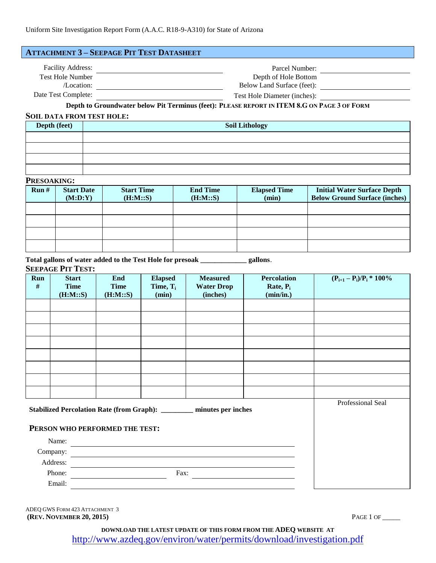| <b>ATTACHMENT 3 - SEEPAGE PIT TEST DATASHEET</b>    |                                                                                             |  |
|-----------------------------------------------------|---------------------------------------------------------------------------------------------|--|
| <b>Facility Address:</b><br><b>Test Hole Number</b> | Parcel Number:<br>Depth of Hole Bottom                                                      |  |
| /Location:                                          | Below Land Surface (feet):                                                                  |  |
| Date Test Complete:                                 | Test Hole Diameter (inches):                                                                |  |
|                                                     | Depth to Groundwater below Pit Terminus (feet): PLEASE REPORT IN ITEM 8.G ON PAGE 3 OF FORM |  |

#### **SOIL DATA FROM TEST HOLE:**

| Depth (feet) | <b>Soil Lithology</b> |
|--------------|-----------------------|
|              |                       |
|              |                       |
|              |                       |
|              |                       |

# **PRESOAKING:**

| Run# | <b>Start Date</b><br>(M:D:Y) | <b>Start Time</b><br>(H:M::S) | <b>End Time</b><br>(H:M::S) | <b>Elapsed Time</b><br>(min) | <b>Initial Water Surface Depth</b><br><b>Below Ground Surface (inches)</b> |
|------|------------------------------|-------------------------------|-----------------------------|------------------------------|----------------------------------------------------------------------------|
|      |                              |                               |                             |                              |                                                                            |
|      |                              |                               |                             |                              |                                                                            |
|      |                              |                               |                             |                              |                                                                            |
|      |                              |                               |                             |                              |                                                                            |

**Total gallons of water added to the Test Hole for presoak \_\_\_\_\_\_\_\_\_\_\_\_\_ gallons**.

#### **SEEPAGE PIT TEST:**

| Run<br>$\#$ | <b>Start</b><br><b>Time</b>                                          | <b>End</b><br><b>Time</b>      | <b>Elapsed</b><br>Time, $T_i$ | <b>Measured</b><br><b>Water Drop</b> | <b>Percolation</b><br>Rate, $P_i$ | $(P_{i+1} - P_i)/P_i * 100\%$ |
|-------------|----------------------------------------------------------------------|--------------------------------|-------------------------------|--------------------------------------|-----------------------------------|-------------------------------|
|             | (H:M::S)                                                             | (H:M::S)                       | (min)                         | (inches)                             | (min/in.)                         |                               |
|             |                                                                      |                                |                               |                                      |                                   |                               |
|             |                                                                      |                                |                               |                                      |                                   |                               |
|             |                                                                      |                                |                               |                                      |                                   |                               |
|             |                                                                      |                                |                               |                                      |                                   |                               |
|             |                                                                      |                                |                               |                                      |                                   |                               |
|             |                                                                      |                                |                               |                                      |                                   |                               |
|             |                                                                      |                                |                               |                                      |                                   |                               |
|             |                                                                      |                                |                               |                                      |                                   |                               |
|             | Stabilized Percolation Rate (from Graph): _______ minutes per inches | Professional Seal              |                               |                                      |                                   |                               |
|             |                                                                      | PERSON WHO PERFORMED THE TEST: |                               |                                      |                                   |                               |
|             | Name:                                                                |                                |                               |                                      |                                   |                               |
|             | Company:                                                             |                                |                               |                                      |                                   |                               |
|             | Address:                                                             |                                |                               |                                      |                                   |                               |
|             | Phone:                                                               |                                | Fax:                          |                                      |                                   |                               |
|             | Email:                                                               |                                |                               |                                      |                                   |                               |

ADEQ GWS FORM 423 ATTACHMENT 3 **(REV. NOVEMBER 20, 2015)** PAGE 1 OF \_\_\_\_\_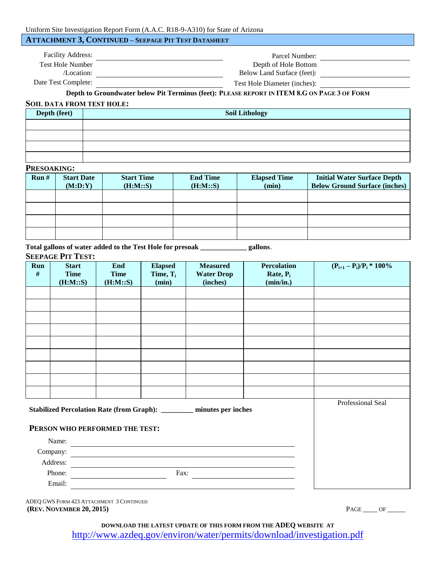# **ATTACHMENT 3, CONTINUED – SEEPAGE PIT TEST DATASHEET**

| <b>Facility Address:</b> | Parcel Number:               |  |
|--------------------------|------------------------------|--|
| <b>Test Hole Number</b>  | Depth of Hole Bottom         |  |
| /Location:               | Below Land Surface (feet):   |  |
| Date Test Complete:      | Test Hole Diameter (inches): |  |

**Depth to Groundwater below Pit Terminus (feet): PLEASE REPORT IN ITEM 8.G ON PAGE 3 OF FORM**

#### **SOIL DATA FROM TEST HOLE:**

| Depth (feet) | <b>Soil Lithology</b> |
|--------------|-----------------------|
|              |                       |
|              |                       |
|              |                       |
|              |                       |

# **PRESOAKING:**

| Run# | <b>Start Date</b><br>(M:D:Y) | <b>Start Time</b><br>(H:M::S) | <b>End Time</b><br>(H:M::S) | <b>Elapsed Time</b><br>(min) | <b>Initial Water Surface Depth</b><br><b>Below Ground Surface (inches)</b> |
|------|------------------------------|-------------------------------|-----------------------------|------------------------------|----------------------------------------------------------------------------|
|      |                              |                               |                             |                              |                                                                            |
|      |                              |                               |                             |                              |                                                                            |
|      |                              |                               |                             |                              |                                                                            |
|      |                              |                               |                             |                              |                                                                            |

**Total gallons of water added to the Test Hole for presoak \_\_\_\_\_\_\_\_\_\_\_\_\_ gallons**.

#### **SEEPAGE PIT TEST:**

| Run<br>$\#$                                                           | <b>Start</b><br><b>Time</b> | End<br><b>Time</b> | <b>Elapsed</b><br>Time, $T_i$ | <b>Measured</b><br><b>Water Drop</b> | <b>Percolation</b><br>Rate, $P_i$ | $(P_{i+1} - P_i)/P_i * 100\%$ |
|-----------------------------------------------------------------------|-----------------------------|--------------------|-------------------------------|--------------------------------------|-----------------------------------|-------------------------------|
|                                                                       | (H:M::S)                    | (H:M::S)           | (min)                         | (inches)                             | (min/in.)                         |                               |
|                                                                       |                             |                    |                               |                                      |                                   |                               |
|                                                                       |                             |                    |                               |                                      |                                   |                               |
|                                                                       |                             |                    |                               |                                      |                                   |                               |
|                                                                       |                             |                    |                               |                                      |                                   |                               |
|                                                                       |                             |                    |                               |                                      |                                   |                               |
|                                                                       |                             |                    |                               |                                      |                                   |                               |
|                                                                       |                             |                    |                               |                                      |                                   |                               |
|                                                                       |                             |                    |                               |                                      |                                   |                               |
|                                                                       |                             |                    |                               |                                      |                                   |                               |
| Stabilized Percolation Rate (from Graph): ________ minutes per inches |                             |                    |                               |                                      |                                   | Professional Seal             |
|                                                                       |                             |                    |                               |                                      |                                   |                               |
| PERSON WHO PERFORMED THE TEST:                                        |                             |                    |                               |                                      |                                   |                               |
| Name:<br><u> 1989 - Andrea Andrew Maria (h. 1989).</u>                |                             |                    |                               |                                      |                                   |                               |
| Company:                                                              |                             |                    |                               |                                      |                                   |                               |
| Address:                                                              |                             |                    |                               |                                      |                                   |                               |
|                                                                       | Phone:<br>Fax:              |                    |                               |                                      |                                   |                               |
|                                                                       | Email:                      |                    |                               |                                      |                                   |                               |

ADEQ GWS FORM 423 ATTACHMENT 3 CONTINUED **(REV. NOVEMBER 20, 2015)** PAGE \_\_\_\_ OF \_\_\_\_\_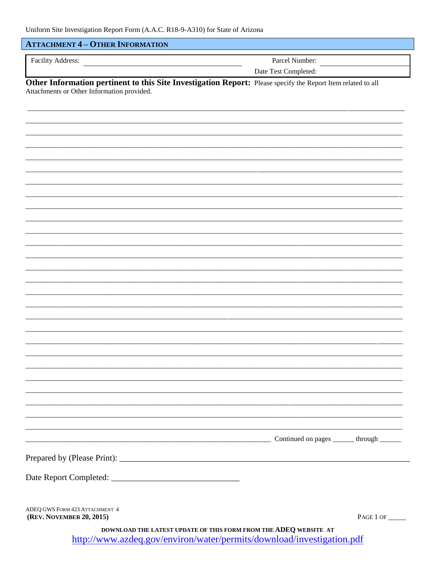# **ATTACHMENT 4 - OTHER INFORMATION**

Parcel Number:

Date Test Completed:

Other Information pertinent to this Site Investigation Report: Please specify the Report Item related to all Attachments or Other Information provided.

| ADEO GWS FORM 423 ATTACHMENT 4 |  |
|--------------------------------|--|
| (REV. NOVEMBER 20, 2015)       |  |

PAGE 1 OF

Continued on pages \_\_\_\_\_\_ through \_\_\_\_\_